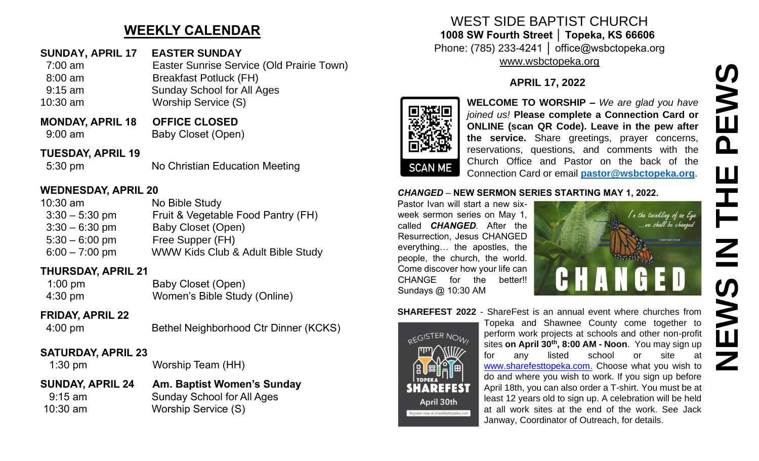# **WEEKLY CALENDAR**

## **SUNDAY, APRIL 17 EASTER SUNDAY**

- 7:00 am Easter Sunrise Service (Old Prairie Town)
- 8:00 am Breakfast Potluck (FH)
- 9:15 am Sunday School for All Ages
- 10:30 am Worship Service (S)
- **MONDAY, APRIL 18 OFFICE CLOSED** 9:00 am Baby Closet (Open)

## **TUESDAY, APRIL 19**

5:30 pm No Christian Education Meeting

## **WEDNESDAY, APRIL 20**

| $10:30$ am       | No Bible Study                     |
|------------------|------------------------------------|
| $3:30 - 5:30$ pm | Fruit & Vegetable Food Pantry (FH) |
| $3:30 - 6:30$ pm | <b>Baby Closet (Open)</b>          |
| $5:30 - 6:00$ pm | Free Supper (FH)                   |
| $6:00 - 7:00$ pm | WWW Kids Club & Adult Bible Study  |

## **THURSDAY, APRIL 21**

| $1:00$ pm         | Baby Closet (Open)           |
|-------------------|------------------------------|
| $4:30 \text{ pm}$ | Women's Bible Study (Online) |

#### **FRIDAY, APRIL 22**

```
 4:00 pm Bethel Neighborhood Ctr Dinner (KCKS)
```
## **SATURDAY, APRIL 23**

1:30 pm Worship Team (HH)

#### **SUNDAY, APRIL 24 Am. Baptist Women's Sunday** 9:15 am Sunday School for All Ages 10:30 am Worship Service (S)

## WEST SIDE BAPTIST CHURCH **1008 SW Fourth Street │ Topeka, KS 66606** Phone: (785) 233-4241 │ office@wsbctopeka.org

[www.wsbctopeka.org](http://www.wsbctopeka.org/)

# **APRIL 17, 2022**



**WELCOME TO WORSHIP –** *We are glad you have joined us!* **Please complete a Connection Card or ONLINE (scan QR Code). Leave in the pew after the service.** Share greetings, prayer concerns, reservations, questions, and comments with the Church Office and Pastor on the back of the Connection Card or email **[pastor@wsbctopeka.org](mailto:pastor@wsbctopeka.org)**.

#### *CHANGED* – **NEW SERMON SERIES STARTING MAY 1, 2022.**

Pastor Ivan will start a new sixweek sermon series on May 1, called *CHANGED*. After the Resurrection, Jesus CHANGED everything… the apostles, the people, the church, the world. Come discover how your life can CHANGE for the better!! Sundays @ 10:30 AM



#### **SHAREFEST 2022** - ShareFest is an annual event where churches from



Topeka and Shawnee County come together to perform work projects at schools and other non-profit sites **on April 30th, 8:00 AM - Noon**. You may sign up for any listed school or site at [www.sharefesttopeka.com.](http://www.sharefesttopeka.com/) Choose what you wish to do and where you wish to work. If you sign up before April 18th, you can also order a T-shirt. You must be at least 12 years old to sign up. A celebration will be held at all work sites at the end of the work. See Jack Janway, Coordinator of Outreach, for details.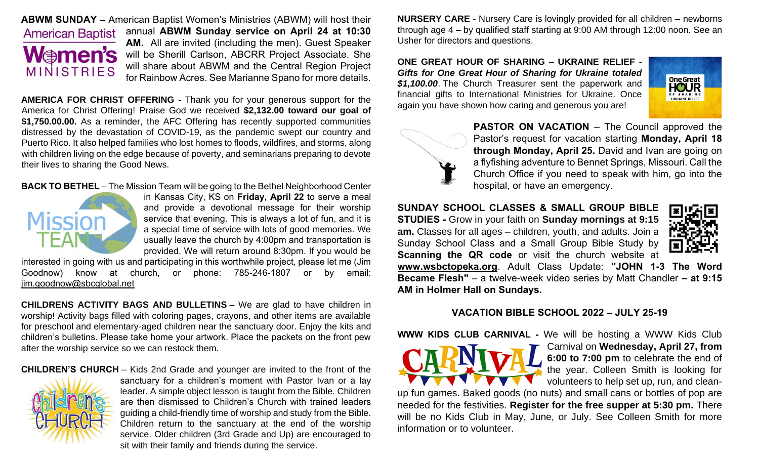

**ABWM SUNDAY –** American Baptist Women's Ministries (ABWM) will host their annual **ABWM Sunday service on April 24 at 10:30 AM.** All are invited (including the men). Guest Speaker will be Sherill Carlson, ABCRR Project Associate. She will share about ABWM and the Central Region Project for Rainbow Acres. See Marianne Spano for more details.

**AMERICA FOR CHRIST OFFERING -** Thank you for your generous support for the America for Christ Offering! Praise God we received **\$2,132.00 toward our goal of \$1,750.00.00.** As a reminder, the AFC Offering has recently supported communities distressed by the devastation of COVID-19, as the pandemic swept our country and Puerto Rico. It also helped families who lost homes to floods, wildfires, and storms, along with children living on the edge because of poverty, and seminarians preparing to devote their lives to sharing the Good News.

#### **BACK TO BETHEL** – The Mission Team will be going to the Bethel Neighborhood Center



in Kansas City, KS on **Friday, April 22** to serve a meal and provide a devotional message for their worship service that evening. This is always a lot of fun, and it is a special time of service with lots of good memories. We usually leave the church by 4:00pm and transportation is provided. We will return around 8:30pm. If you would be

interested in going with us and participating in this worthwhile project, please let me (Jim Goodnow) know at church, or phone: 785-246-1807 or by email: [jim.goodnow@sbcglobal.net](mailto:jim.goodnow@sbcglobal.net)

**CHILDRENS ACTIVITY BAGS AND BULLETINS** – We are glad to have children in worship! Activity bags filled with coloring pages, crayons, and other items are available for preschool and elementary-aged children near the sanctuary door. Enjoy the kits and children's bulletins. Please take home your artwork. Place the packets on the front pew after the worship service so we can restock them.

**CHILDREN'S CHURCH** – Kids 2nd Grade and younger are invited to the front of the



sanctuary for a children's moment with Pastor Ivan or a lay leader. A simple object lesson is taught from the Bible. Children are then dismissed to Children's Church with trained leaders guiding a child-friendly time of worship and study from the Bible. Children return to the sanctuary at the end of the worship service. Older children (3rd Grade and Up) are encouraged to sit with their family and friends during the service.

**NURSERY CARE -** Nursery Care is lovingly provided for all children – newborns through age 4 – by qualified staff starting at 9:00 AM through 12:00 noon. See an Usher for directors and questions.

**ONE GREAT HOUR OF SHARING – UKRAINE RELIEF -** *Gifts for One Great Hour of Sharing for Ukraine totaled \$1,100.00*. The Church Treasurer sent the paperwork and financial gifts to International Ministries for Ukraine. Once again you have shown how caring and generous you are!





**PASTOR ON VACATION – The Council approved the** Pastor's request for vacation starting **Monday, April 18 through Monday, April 25.** David and Ivan are going on a flyfishing adventure to Bennet Springs, Missouri. Call the Church Office if you need to speak with him, go into the hospital, or have an emergency.

**SUNDAY SCHOOL CLASSES & SMALL GROUP BIBLE STUDIES -** Grow in your faith on **Sunday mornings at 9:15 am.** Classes for all ages – children, youth, and adults. Join a Sunday School Class and a Small Group Bible Study by **Scanning the QR code** or visit the church website at



**www.wsbctopeka.org**. Adult Class Update: **"JOHN 1-3 The Word Became Flesh"** – a twelve-week video series by Matt Chandler **– at 9:15 AM in Holmer Hall on Sundays.**

#### **VACATION BIBLE SCHOOL 2022 – JULY 25-19**

**WWW KIDS CLUB CARNIVAL -** We will be hosting a WWW Kids Club



Carnival on **Wednesday, April 27, from 6:00 to 7:00 pm** to celebrate the end of the year. Colleen Smith is looking for volunteers to help set up, run, and clean-

up fun games. Baked goods (no nuts) and small cans or bottles of pop are needed for the festivities. **Register for the free supper at 5:30 pm.** There will be no Kids Club in May, June, or July. See Colleen Smith for more information or to volunteer.